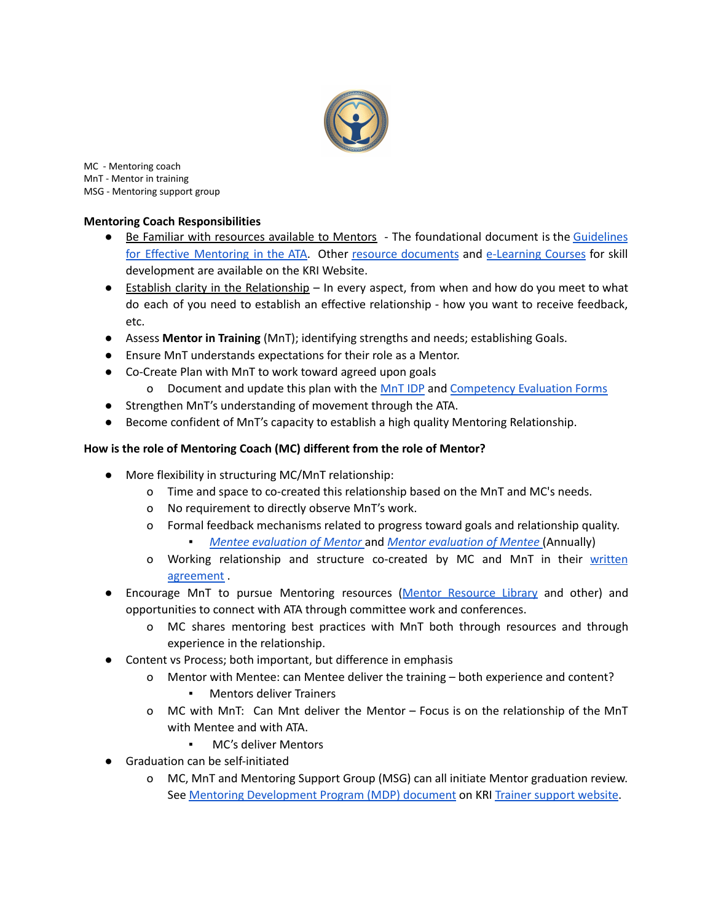

MC - Mentoring coach MnT - Mentor in training MSG - Mentoring support group

## **Mentoring Coach Responsibilities**

- Be Familiar with resources available to Mentors The foundational document is the [Guidelines](https://trainersupport.kundaliniresearchinstitute.org/wp-content/uploads/2021/08/3-Guidelines-for-Effective-Mentoring.pdf) for Effective [Mentoring](https://trainersupport.kundaliniresearchinstitute.org/wp-content/uploads/2021/08/3-Guidelines-for-Effective-Mentoring.pdf) in the ATA. Other resource [documents](https://trainersupport.kundaliniresearchinstitute.org/aquarian-trainer-academy/level-one-pathway/mentoring-resources-library/) and [e-Learning](https://kundaliniresearchinstitute.org/e-learning-center/) Courses for skill development are available on the KRI Website.
- Establish clarity in the Relationship In every aspect, from when and how do you meet to what do each of you need to establish an effective relationship - how you want to receive feedback, etc.
- Assess **Mentor in Training** (MnT); identifying strengths and needs; establishing Goals.
- Ensure MnT understands expectations for their role as a Mentor.
- Co-Create Plan with MnT to work toward agreed upon goals
	- o Document and update this plan with the [MnT](https://trainersupport.kundaliniresearchinstitute.org/wp-content/uploads/2021/08/8-MnT-Individual-Development-Plan-IDP.docx) IDP and [Competency](https://trainersupport.kundaliniresearchinstitute.org/wp-content/uploads/2021/08/7-MnT-Competency-Evaluation-Form.docx) Evaluation Forms
- Strengthen MnT's understanding of movement through the ATA.
- Become confident of MnT's capacity to establish a high quality Mentoring Relationship.

## **How is the role of Mentoring Coach (MC) different from the role of Mentor?**

- More flexibility in structuring MC/MnT relationship:
	- o Time and space to co-created this relationship based on the MnT and MC's needs.
	- o No requirement to directly observe MnT's work.
	- o Formal feedback mechanisms related to progress toward goals and relationship quality. ▪ *Mentee [evaluation](https://trainersupport.kundaliniresearchinstitute.org/wp-content/uploads/2022/05/Mentees-Feedback-Form-onto-Mentor.docx) of Mentor* and *Mentor [evaluation](https://trainersupport.kundaliniresearchinstitute.org/wp-content/uploads/2022/05/MentorMnT-Feedback-form-to-Mentees.docx) of Mentee* (Annually)
	- o Working relationship and structure co-created by MC and MnT in their [written](https://trainersupport.kundaliniresearchinstitute.org/wp-content/uploads/2021/08/6-Mentoring-Coach-Mentor-in-Training-Operating-Agreement.docx) [agreement](https://trainersupport.kundaliniresearchinstitute.org/wp-content/uploads/2021/08/6-Mentoring-Coach-Mentor-in-Training-Operating-Agreement.docx) .
- Encourage MnT to pursue Mentoring resources (Mentor [Resource](https://trainersupport.kundaliniresearchinstitute.org/aquarian-trainer-academy/level-one-pathway/mentoring-resources-library/) Library and other) and opportunities to connect with ATA through committee work and conferences.
	- o MC shares mentoring best practices with MnT both through resources and through experience in the relationship.
- Content vs Process; both important, but difference in emphasis
	- o Mentor with Mentee: can Mentee deliver the training both experience and content?
		- **Mentors deliver Trainers**
	- o MC with MnT: Can Mnt deliver the Mentor Focus is on the relationship of the MnT with Mentee and with ATA.
		- MC's deliver Mentors
- Graduation can be self-initiated
	- o MC, MnT and Mentoring Support Group (MSG) can all initiate Mentor graduation review. See Mentoring [Development](https://trainersupport.kundaliniresearchinstitute.org/wp-content/uploads/2021/08/1-Mentor-Development-Program.pdf) Program (MDP) document on KRI Trainer [support](https://trainersupport.kundaliniresearchinstitute.org/) website.